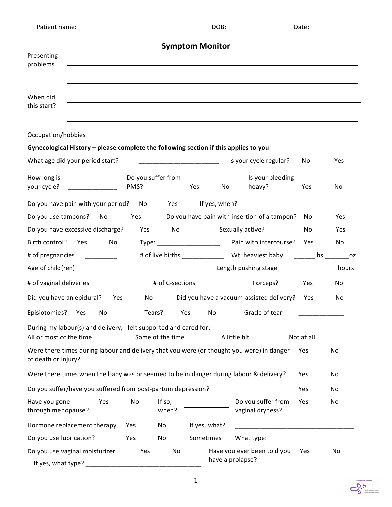| Patient name:                                                                                                    |                                                                                                                  | DOB:             | _______________               | Date:                                           |                 |            |  |
|------------------------------------------------------------------------------------------------------------------|------------------------------------------------------------------------------------------------------------------|------------------|-------------------------------|-------------------------------------------------|-----------------|------------|--|
|                                                                                                                  |                                                                                                                  |                  | <b>Symptom Monitor</b>        |                                                 |                 |            |  |
| Presenting                                                                                                       | and the control of the control of the control of the control of the control of the control of the control of the |                  |                               |                                                 |                 |            |  |
| problems                                                                                                         |                                                                                                                  |                  |                               |                                                 |                 |            |  |
| When did<br>this start?                                                                                          |                                                                                                                  |                  |                               |                                                 |                 |            |  |
|                                                                                                                  |                                                                                                                  |                  |                               |                                                 |                 |            |  |
| Occupation/hobbies                                                                                               |                                                                                                                  |                  |                               |                                                 |                 |            |  |
| Gynecological History - please complete the following section if this applies to you                             |                                                                                                                  |                  |                               |                                                 |                 |            |  |
| What age did your period start?                                                                                  |                                                                                                                  |                  |                               | Is your cycle regular?                          | No              | Yes        |  |
| How long is<br>your cycle?<br><u> 1999 - Johann Barn, mars f</u>                                                 | Do you suffer from<br>PMS?                                                                                       |                  | Yes<br>No                     | Is your bleeding<br>heavy?                      | Yes             | No         |  |
| Do you have pain with your period?                                                                               |                                                                                                                  |                  |                               |                                                 |                 |            |  |
| Do you use tampons? No                                                                                           | Yes                                                                                                              |                  |                               | Do you have pain with insertion of a tampon?    | No.             | <b>Yes</b> |  |
| Do you have excessive discharge?                                                                                 | Yes                                                                                                              | No               |                               | Sexually active?                                | No              | Yes        |  |
| Birth control?<br>Yes<br><b>No</b>                                                                               |                                                                                                                  |                  | Туре: _______________________ | Pain with intercourse? Yes                      |                 | No         |  |
| # of pregnancies _________                                                                                       |                                                                                                                  |                  |                               |                                                 |                 |            |  |
|                                                                                                                  |                                                                                                                  |                  |                               | Length pushing stage                            | <u>ne bours</u> |            |  |
| # of vaginal deliveries ____________ # of C-sections                                                             |                                                                                                                  |                  |                               | Forceps?                                        | Yes             | No         |  |
| Did you have an epidural?                                                                                        | Yes<br>No                                                                                                        |                  |                               | Did you have a vacuum-assisted delivery? Yes    |                 | <b>No</b>  |  |
| Episiotomies?<br>Yes<br>No                                                                                       | Tears?                                                                                                           | Yes              | No                            | Grade of tear                                   |                 |            |  |
| During my labour(s) and delivery, I felt supported and cared for:<br>All or most of the time                     |                                                                                                                  | Some of the time |                               | A little bit                                    | Not at all      |            |  |
| Were there times during labour and delivery that you were (or thought you were) in danger<br>of death or injury? |                                                                                                                  |                  |                               |                                                 | Yes             | No         |  |
| Were there times when the baby was or seemed to be in danger during labour & delivery?                           |                                                                                                                  |                  |                               |                                                 | Yes             | No         |  |
| Do you suffer/have you suffered from post-partum depression?                                                     |                                                                                                                  |                  |                               |                                                 | Yes             | No         |  |
| Have you gone<br>Yes<br>through menopause?                                                                       | No                                                                                                               | If so,<br>when?  |                               | Do you suffer from<br>vaginal dryness?          | Yes             | No         |  |
| Hormone replacement therapy                                                                                      | Yes                                                                                                              | No               | If yes, what?                 |                                                 |                 |            |  |
| Do you use lubrication?                                                                                          | Yes                                                                                                              | No               | Sometimes                     |                                                 |                 |            |  |
| Do you use vaginal moisturizer<br>If yes, what type?                                                             | Yes                                                                                                              | No               |                               | Have you ever been told you<br>have a prolapse? | Yes             | No         |  |

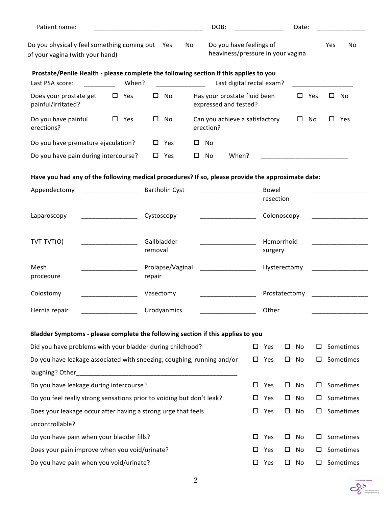| Patient name:                                                                                            |            |            |                       |    |   | DOB:      |                                                              |   |                       |   | Date: |     |     |           |
|----------------------------------------------------------------------------------------------------------|------------|------------|-----------------------|----|---|-----------|--------------------------------------------------------------|---|-----------------------|---|-------|-----|-----|-----------|
| Do you physically feel something coming out Yes<br>of your vagina (with your hand)                       |            |            |                       | No |   |           | Do you have feelings of<br>heaviness/pressure in your vagina |   |                       |   |       |     | Yes | No        |
| Prostate/Penile Health - please complete the following section if this applies to you<br>Last PSA score: | When?      |            |                       |    |   |           | Last digital rectal exam?                                    |   |                       |   |       |     |     |           |
| Does your prostate get<br>painful/irritated?                                                             | $\Box$ Yes | ப          | No                    |    |   |           | Has your prostate fluid been<br>expressed and tested?        |   |                       |   | ப     | Yes | □   | No        |
| Do you have painful<br>erections?                                                                        | $\Box$ Yes | ப          | No                    |    |   | erection? | Can you achieve a satisfactory                               |   |                       |   | ப     | No  | ப   | Yes       |
| Do you have premature ejaculation?                                                                       |            |            | $\Box$ Yes            |    | ш | No        |                                                              |   |                       |   |       |     |     |           |
| Do you have pain during intercourse?                                                                     |            |            | $\Box$ Yes            |    | ш | No        | When?                                                        |   |                       |   |       |     |     |           |
| Have you had any of the following medical procedures? If so, please provide the approximate date:        |            |            |                       |    |   |           |                                                              |   |                       |   |       |     |     |           |
| Appendectomy                                                                                             |            |            | <b>Bartholin Cyst</b> |    |   |           |                                                              |   | Bowel                 |   |       |     |     |           |
|                                                                                                          |            |            |                       |    |   |           |                                                              |   | resection             |   |       |     |     |           |
| Laparoscopy                                                                                              |            | Cystoscopy |                       |    |   |           |                                                              |   | Colonoscopy           |   |       |     |     |           |
|                                                                                                          |            |            |                       |    |   |           |                                                              |   |                       |   |       |     |     |           |
| TVT-TVT(O)                                                                                               |            | removal    | Gallbladder           |    |   |           |                                                              |   | Hemorrhoid<br>surgery |   |       |     |     |           |
|                                                                                                          |            |            |                       |    |   |           |                                                              |   |                       |   |       |     |     |           |
| Mesh<br>procedure                                                                                        |            | repair     | Prolapse/Vaginal      |    |   |           |                                                              |   | Hysterectomy          |   |       |     |     |           |
| Colostomy                                                                                                |            | Vasectomy  |                       |    |   |           |                                                              |   | Prostatectomy         |   |       |     |     |           |
| Hernia repair                                                                                            |            |            | Urodyanmics           |    |   |           |                                                              |   | Other                 |   |       |     |     |           |
| Bladder Symptoms - please complete the following section if this applies to you                          |            |            |                       |    |   |           |                                                              |   |                       |   |       |     |     |           |
| Did you have problems with your bladder during childhood?                                                |            |            |                       |    |   |           |                                                              |   | $\square$ Yes         | □ | No    | ப   |     | Sometimes |
| Do you have leakage associated with sneezing, coughing, running and/or                                   |            |            |                       |    |   |           |                                                              |   | $\Box$ Yes            | □ | No    | ш   |     | Sometimes |
|                                                                                                          |            |            |                       |    |   |           |                                                              |   |                       |   |       |     |     |           |
| Do you have leakage during intercourse?                                                                  |            |            |                       |    |   |           |                                                              | 0 | Yes                   | □ | No    | ப   |     | Sometimes |
| Do you feel really strong sensations prior to voiding but don't leak?                                    |            |            |                       |    |   |           |                                                              | ц | Yes                   | □ | No    | ⊔   |     | Sometimes |
| Does your leakage occur after having a strong urge that feels                                            |            |            |                       |    |   |           |                                                              |   | $\square$ Yes         | □ | No    | □   |     | Sometimes |
| uncontrollable?                                                                                          |            |            |                       |    |   |           |                                                              |   |                       |   |       |     |     |           |
| Do you have pain when your bladder fills?                                                                |            |            |                       |    |   |           |                                                              | 0 | Yes                   | □ | No    | ப   |     | Sometimes |
| Does your pain improve when you void/urinate?                                                            |            |            |                       |    |   |           |                                                              | □ | Yes                   | □ | No    | ш   |     | Sometimes |
| Do you have pain when you void/urinate?                                                                  |            |            |                       |    |   |           |                                                              | □ | Yes                   | □ | No    | ப   |     | Sometimes |
|                                                                                                          |            |            |                       |    |   |           |                                                              |   |                       |   |       |     |     |           |

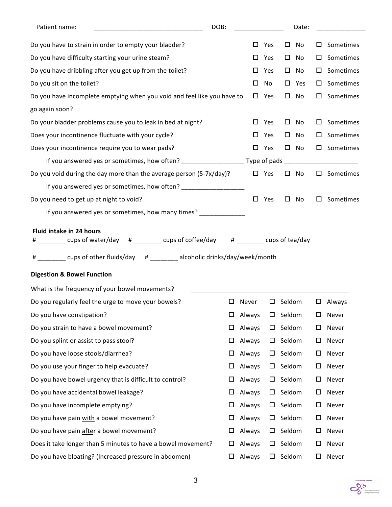| DOB:<br>Patient name:                                                                                                                                                                                        |        |        |               |        | Date: |   |                     |
|--------------------------------------------------------------------------------------------------------------------------------------------------------------------------------------------------------------|--------|--------|---------------|--------|-------|---|---------------------|
| Do you have to strain in order to empty your bladder?                                                                                                                                                        |        | □      | Yes           | □      | No    | □ | Sometimes           |
| Do you have difficulty starting your urine steam?                                                                                                                                                            |        | □      | Yes           | $\Box$ | No    | ப | Sometimes           |
| Do you have dribbling after you get up from the toilet?                                                                                                                                                      |        | □      | Yes           | □      | No    | ш | Sometimes           |
| Do you sit on the toilet?                                                                                                                                                                                    |        | □      | No            | 0      | Yes   | ш | Sometimes           |
| Do you have incomplete emptying when you void and feel like you have to                                                                                                                                      |        |        | $\square$ Yes | 0      | No    | 0 | Sometimes           |
| go again soon?                                                                                                                                                                                               |        |        |               |        |       |   |                     |
| Do your bladder problems cause you to leak in bed at night?                                                                                                                                                  |        | 0      | Yes           | $\Box$ | No    | ப | Sometimes           |
| Does your incontinence fluctuate with your cycle?                                                                                                                                                            |        | □      | Yes           | □      | No    | ш | Sometimes           |
| Does your incontinence require you to wear pads?                                                                                                                                                             |        |        | $\square$ Yes | $\Box$ | No    |   | $\square$ Sometimes |
|                                                                                                                                                                                                              |        |        |               |        |       |   |                     |
| Do you void during the day more than the average person (5-7x/day)?                                                                                                                                          |        | $\Box$ | Yes           | □      | No    |   | Sometimes           |
| If you answered yes or sometimes, how often? ___________________________________                                                                                                                             |        |        |               |        |       |   |                     |
| Do you need to get up at night to void?                                                                                                                                                                      |        | $\Box$ | Yes           | □      | No    | ப | Sometimes           |
| If you answered yes or sometimes, how many times? _____________                                                                                                                                              |        |        |               |        |       |   |                     |
| # ________ cups of water/day # ________ cups of coffee/day # _______ cups of tea/day<br>________ cups of other fluids/day # _______ alcoholic drinks/day/week/month<br><b>Digestion &amp; Bowel Function</b> |        |        |               |        |       |   |                     |
| What is the frequency of your bowel movements?                                                                                                                                                               |        |        |               |        |       |   |                     |
| Do you regularly feel the urge to move your bowels?                                                                                                                                                          | ப      | Never  | ப             | Seldom |       |   | $\Box$ Always       |
| Do you have constipation?                                                                                                                                                                                    | □      | Always | ப             | Seldom |       | □ | Never               |
| Do you strain to have a bowel movement?                                                                                                                                                                      | □      | Always | $\Box$        | Seldom |       | ◻ | Never               |
| Do you splint or assist to pass stool?                                                                                                                                                                       | □      | Always | ப             | Seldom |       | □ | Never               |
| Do you have loose stools/diarrhea?                                                                                                                                                                           | □      | Always | $\Box$        | Seldom |       | □ | Never               |
| Do you use your finger to help evacuate?                                                                                                                                                                     | □      | Always | $\Box$        | Seldom |       | □ | Never               |
| Do you have bowel urgency that is difficult to control?                                                                                                                                                      | □      | Always | $\Box$        | Seldom |       | ◻ | Never               |
| Do you have accidental bowel leakage?                                                                                                                                                                        | □      | Always | ப             | Seldom |       | □ | Never               |
| Do you have incomplete emptying?                                                                                                                                                                             | □      | Always | $\Box$        | Seldom |       | □ | Never               |
| Do you have pain with a bowel movement?                                                                                                                                                                      | $\Box$ | Always | $\Box$        | Seldom |       | □ | Never               |
| Do you have pain after a bowel movement?                                                                                                                                                                     | ப      | Always | ப             | Seldom |       | □ | Never               |
| Does it take longer than 5 minutes to have a bowel movement?                                                                                                                                                 | □      | Always | ப             | Seldom |       | □ | Never               |
| Do you have bloating? (Increased pressure in abdomen)                                                                                                                                                        | □      | Always | $\Box$        | Seldom |       | □ | Never               |

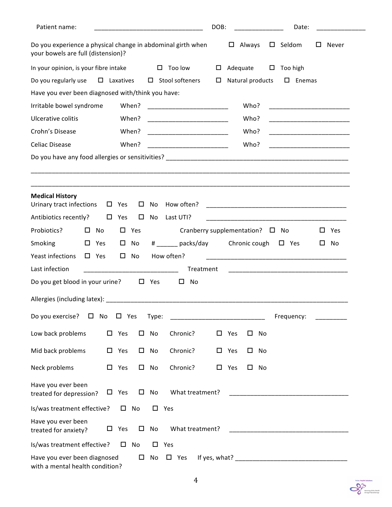| Patient name:                                                                                     |        |                     |              |              |                                         | DOB:   |               |                  |    | Date:                    |   |                                                                                                                        |
|---------------------------------------------------------------------------------------------------|--------|---------------------|--------------|--------------|-----------------------------------------|--------|---------------|------------------|----|--------------------------|---|------------------------------------------------------------------------------------------------------------------------|
| Do you experience a physical change in abdominal girth when<br>your bowels are full (distension)? |        |                     |              |              |                                         |        |               | $\Box$ Always    |    | $\square$ Seldom         |   | $\Box$ Never                                                                                                           |
| In your opinion, is your fibre intake                                                             |        |                     |              |              | $\Box$ Too low                          | $\Box$ |               | Adequate         |    | $\Box$ Too high          |   |                                                                                                                        |
| Do you regularly use                                                                              |        | $\square$ Laxatives |              |              | $\Box$ Stool softeners                  | $\Box$ |               | Natural products |    | $\square$ Enemas         |   |                                                                                                                        |
| Have you ever been diagnosed with/think you have:                                                 |        |                     |              |              |                                         |        |               |                  |    |                          |   |                                                                                                                        |
| Irritable bowel syndrome                                                                          |        |                     | When?        |              |                                         |        |               | Who?             |    |                          |   |                                                                                                                        |
| Ulcerative colitis                                                                                |        |                     | When?        |              |                                         |        |               | Who?             |    |                          |   |                                                                                                                        |
| Crohn's Disease                                                                                   |        |                     | When?        |              |                                         |        |               | Who?             |    |                          |   |                                                                                                                        |
| Celiac Disease                                                                                    |        |                     | When?        |              |                                         |        |               | Who?             |    |                          |   | <u> 1990 - Johann John Harry Harry Harry Harry Harry Harry Harry Harry Harry Harry Harry Harry Harry Harry Harry H</u> |
|                                                                                                   |        |                     |              |              |                                         |        |               |                  |    |                          |   |                                                                                                                        |
|                                                                                                   |        |                     |              |              |                                         |        |               |                  |    |                          |   |                                                                                                                        |
|                                                                                                   |        |                     |              |              |                                         |        |               |                  |    |                          |   |                                                                                                                        |
| <b>Medical History</b><br>Urinary tract infections                                                |        | $\Box$ Yes          | $\Box$       | No           | How often?                              |        |               |                  |    |                          |   |                                                                                                                        |
| Antibiotics recently?                                                                             | $\Box$ | Yes                 | $\Box$       | No           | Last UTI?                               |        |               |                  |    |                          |   |                                                                                                                        |
| Probiotics?<br>No<br>$\Box$                                                                       |        | $\Box$              | Yes          |              | Cranberry supplementation? $\square$ No |        |               |                  |    |                          | ப | Yes                                                                                                                    |
| <b>Smoking</b><br>$\Box$ Yes                                                                      |        | $\Box$              | No           |              | # packs/day                             |        |               |                  |    | Chronic cough $\Box$ Yes | Ц | No                                                                                                                     |
| Yeast infections<br>$\Box$ Yes                                                                    |        | $\square$ No        |              |              | How often?                              |        |               |                  |    |                          |   |                                                                                                                        |
| Last infection                                                                                    |        |                     |              |              | Treatment                               |        |               |                  |    |                          |   |                                                                                                                        |
| Do you get blood in your urine?                                                                   |        |                     |              | $\Box$ Yes   | □<br>No                                 |        |               |                  |    |                          |   |                                                                                                                        |
|                                                                                                   |        |                     |              |              |                                         |        |               |                  |    |                          |   |                                                                                                                        |
| Do you exercise?<br>No<br>$\Box$                                                                  |        | $\square$ Yes       |              | Type:        |                                         |        |               |                  |    | Frequency:               |   |                                                                                                                        |
| Low back problems                                                                                 |        | $\square$ Yes       |              | $\square$ No | Chronic?                                | 0      | Yes           | $\Box$           | No |                          |   |                                                                                                                        |
| Mid back problems                                                                                 |        | $\square$ Yes       |              | $\square$ No | Chronic?                                |        | $\square$ Yes | $\Box$           | No |                          |   |                                                                                                                        |
| Neck problems                                                                                     |        | $\square$ Yes       |              | $\square$ No | Chronic?                                | 0      | Yes           | $\Box$           | No |                          |   |                                                                                                                        |
| Have you ever been<br>treated for depression?                                                     |        | $\Box$ Yes          | $\Box$       | No           | What treatment?                         |        |               |                  |    |                          |   |                                                                                                                        |
| Is/was treatment effective?                                                                       |        |                     | $\square$ No |              | $\square$ Yes                           |        |               |                  |    |                          |   |                                                                                                                        |
| Have you ever been<br>treated for anxiety?                                                        | □      | Yes                 | $\Box$       | No           | What treatment?                         |        |               |                  |    |                          |   |                                                                                                                        |
| Is/was treatment effective?                                                                       |        |                     | $\square$ No | $\Box$       | Yes                                     |        |               |                  |    |                          |   |                                                                                                                        |
| Have you ever been diagnosed<br>with a mental health condition?                                   |        |                     | $\Box$       | No           | $\square$ Yes                           |        |               |                  |    |                          |   |                                                                                                                        |

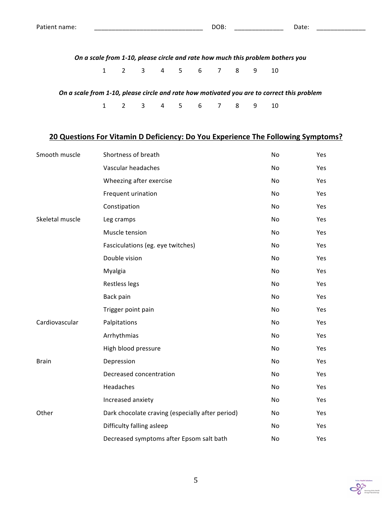*On a scale from 1-10, please circle and rate how much this problem bothers you* 

1 2 3 4 5 6 7 8 9 10

On a scale from 1-10, please circle and rate how motivated you are to correct this problem

1 2 3 4 5 6 7 8 9 10

## **20 Questions For Vitamin D Deficiency: Do You Experience The Following Symptoms?**

| Smooth muscle   | Shortness of breath                              | No | Yes |
|-----------------|--------------------------------------------------|----|-----|
|                 | Vascular headaches                               | No | Yes |
|                 | Wheezing after exercise                          | No | Yes |
|                 | Frequent urination                               | No | Yes |
|                 | Constipation                                     | No | Yes |
| Skeletal muscle | Leg cramps                                       | No | Yes |
|                 | Muscle tension                                   | No | Yes |
|                 | Fasciculations (eg. eye twitches)                | No | Yes |
|                 | Double vision                                    | No | Yes |
|                 | Myalgia                                          | No | Yes |
|                 | Restless legs                                    | No | Yes |
|                 | Back pain                                        | No | Yes |
|                 | Trigger point pain                               | No | Yes |
| Cardiovascular  | Palpitations                                     | No | Yes |
|                 | Arrhythmias                                      | No | Yes |
|                 | High blood pressure                              | No | Yes |
| <b>Brain</b>    | Depression                                       | No | Yes |
|                 | Decreased concentration                          | No | Yes |
|                 | Headaches                                        | No | Yes |
|                 | Increased anxiety                                | No | Yes |
| Other           | Dark chocolate craving (especially after period) | No | Yes |
|                 | Difficulty falling asleep                        | No | Yes |
|                 | Decreased symptoms after Epsom salt bath         | No | Yes |